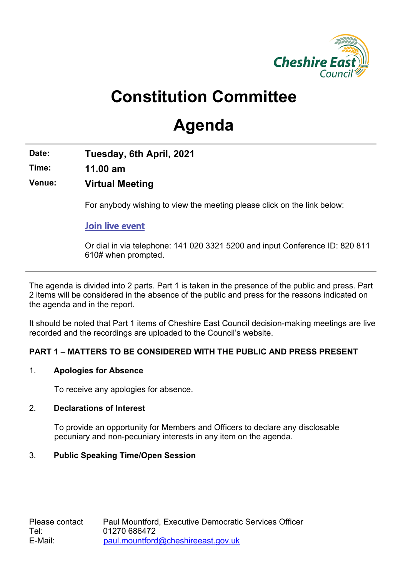

# **Constitution Committee**

# **Agenda**

**Date: Tuesday, 6th April, 2021**

**Time: 11.00 am**

**Venue: Virtual Meeting**

For anybody wishing to view the meeting please click on the link below:

**[Join live event](https://teams.microsoft.com/l/meetup-join/19%3ameeting_NTljYTE4N2QtYzg0Yy00NGUyLTlmNWUtMDRiNDVjNTIxYjgy%40thread.v2/0?context=%7b%22Tid%22%3a%22cdb92d10-23cb-4ac1-a9b3-34f4faaa2851%22%2c%22Oid%22%3a%2249bf5573-de6d-454a-8998-9f1d9ab68cd6%22%2c%22IsBroadcastMeeting%22%3atrue%7d)** 

Or dial in via telephone: 141 020 [3321](tel:+44%2020%203321%205200,,967614266#) 5200 and input Conference ID: 820 811 610# when prompted.

The agenda is divided into 2 parts. Part 1 is taken in the presence of the public and press. Part 2 items will be considered in the absence of the public and press for the reasons indicated on the agenda and in the report.

It should be noted that Part 1 items of Cheshire East Council decision-making meetings are live recorded and the recordings are uploaded to the Council's website.

# **PART 1 – MATTERS TO BE CONSIDERED WITH THE PUBLIC AND PRESS PRESENT**

## 1. **Apologies for Absence**

To receive any apologies for absence.

# 2. **Declarations of Interest**

To provide an opportunity for Members and Officers to declare any disclosable pecuniary and non-pecuniary interests in any item on the agenda.

# 3. **Public Speaking Time/Open Session**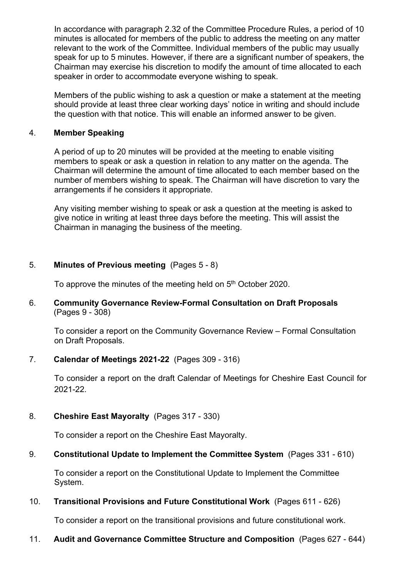In accordance with paragraph 2.32 of the Committee Procedure Rules, a period of 10 minutes is allocated for members of the public to address the meeting on any matter relevant to the work of the Committee. Individual members of the public may usually speak for up to 5 minutes. However, if there are a significant number of speakers, the Chairman may exercise his discretion to modify the amount of time allocated to each speaker in order to accommodate everyone wishing to speak.

Members of the public wishing to ask a question or make a statement at the meeting should provide at least three clear working days' notice in writing and should include the question with that notice. This will enable an informed answer to be given.

#### 4. **Member Speaking**

A period of up to 20 minutes will be provided at the meeting to enable visiting members to speak or ask a question in relation to any matter on the agenda. The Chairman will determine the amount of time allocated to each member based on the number of members wishing to speak. The Chairman will have discretion to vary the arrangements if he considers it appropriate.

Any visiting member wishing to speak or ask a question at the meeting is asked to give notice in writing at least three days before the meeting. This will assist the Chairman in managing the business of the meeting.

## 5. **Minutes of Previous meeting** (Pages 5 - 8)

To approve the minutes of the meeting held on 5<sup>th</sup> October 2020.

#### 6. **Community Governance Review-Formal Consultation on Draft Proposals**  (Pages 9 - 308)

To consider a report on the Community Governance Review – Formal Consultation on Draft Proposals.

## 7. **Calendar of Meetings 2021-22** (Pages 309 - 316)

To consider a report on the draft Calendar of Meetings for Cheshire East Council for 2021-22.

## 8. **Cheshire East Mayoralty** (Pages 317 - 330)

To consider a report on the Cheshire East Mayoralty.

## 9. **Constitutional Update to Implement the Committee System** (Pages 331 - 610)

To consider a report on the Constitutional Update to Implement the Committee System.

## 10. **Transitional Provisions and Future Constitutional Work** (Pages 611 - 626)

To consider a report on the transitional provisions and future constitutional work.

## 11. **Audit and Governance Committee Structure and Composition** (Pages 627 - 644)